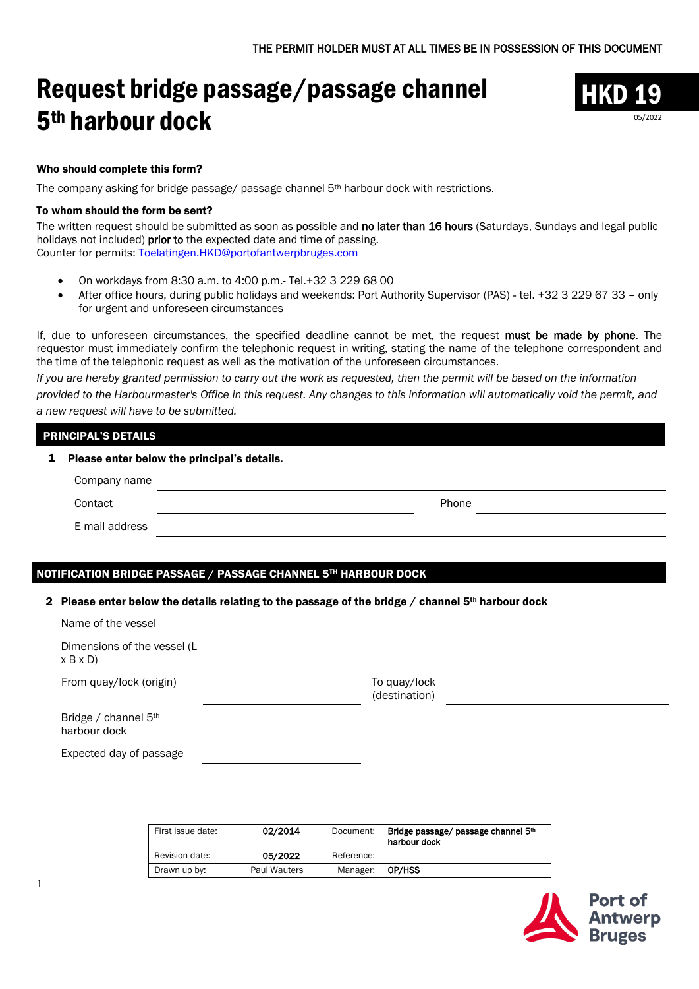# Request bridge passage/passage channel 5th harbour dock



05/2022

Who should complete this form?

The company asking for bridge passage/ passage channel 5th harbour dock with restrictions.

#### To whom should the form be sent?

The written request should be submitted as soon as possible and no later than 16 hours (Saturdays, Sundays and legal public holidays not included) prior to the expected date and time of passing. Counter for permits: [Toelatingen.HKD@portofantwerpbruges.com](mailto:Toelatingen.HKD@portofantwerpbruges.com)

- On workdays from 8:30 a.m. to 4:00 p.m.- Tel.+32 3 229 68 00
- After office hours, during public holidays and weekends: Port Authority Supervisor (PAS) tel. +32 3 229 67 33 only for urgent and unforeseen circumstances

If, due to unforeseen circumstances, the specified deadline cannot be met, the request must be made by phone. The requestor must immediately confirm the telephonic request in writing, stating the name of the telephone correspondent and the time of the telephonic request as well as the motivation of the unforeseen circumstances.

*If you are hereby granted permission to carry out the work as requested, then the permit will be based on the information provided to the Harbourmaster's Office in this request. Any changes to this information will automatically void the permit, and a new request will have to be submitted.*

## PRINCIPAL'S DETAILS

1 Please enter below the principal's details.

| Company name   |       |  |
|----------------|-------|--|
| Contact        | Phone |  |
| E-mail address |       |  |

## NOTIFICATION BRIDGE PASSAGE / PASSAGE CHANNEL 5TH HARBOUR DOCK

#### 2 Please enter below the details relating to the passage of the bridge  $/$  channel 5<sup>th</sup> harbour dock

| Name of the vessel                     |                               |  |
|----------------------------------------|-------------------------------|--|
| Dimensions of the vessel (L<br>x B x D |                               |  |
| From quay/lock (origin)                | To quay/lock<br>(destination) |  |
| Bridge / channel 5th<br>harbour dock   |                               |  |
| Expected day of passage                |                               |  |

| First issue date: | 02/2014             | Document:  | Bridge passage/ passage channel 5th<br>harbour dock |
|-------------------|---------------------|------------|-----------------------------------------------------|
| Revision date:    | 05/2022             | Reference: |                                                     |
| Drawn up by:      | <b>Paul Wauters</b> | Manager:   | OP/HSS                                              |